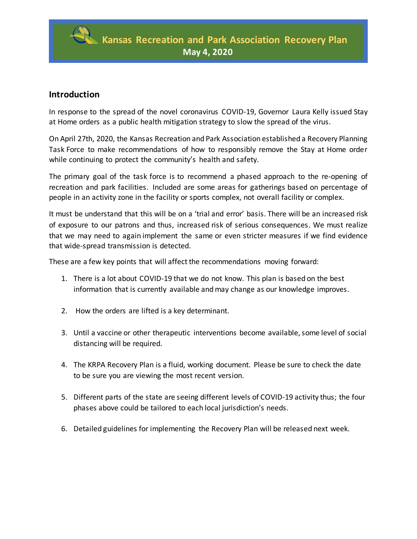

## **Introduction**

In response to the spread of the novel coronavirus COVID-19, Governor Laura Kelly issued Stay at Home orders as a public health mitigation strategy to slow the spread of the virus.

On April 27th, 2020, the Kansas Recreation and Park Association established a Recovery Planning Task Force to make recommendations of how to responsibly remove the Stay at Home order while continuing to protect the community's health and safety.

The primary goal of the task force is to recommend a phased approach to the re-opening of recreation and park facilities. Included are some areas for gatherings based on percentage of people in an activity zone in the facility or sports complex, not overall facility or complex.

It must be understand that this will be on a 'trial and error' basis. There will be an increased risk of exposure to our patrons and thus, increased risk of serious consequences. We must realize that we may need to again implement the same or even stricter measures if we find evidence that wide-spread transmission is detected.

These are a few key points that will affect the recommendations moving forward:

- 1. There is a lot about COVID-19 that we do not know. This plan is based on the best information that is currently available and may change as our knowledge improves.
- 2. How the orders are lifted is a key determinant.
- 3. Until a vaccine or other therapeutic interventions become available, some level of social distancing will be required.
- 4. The KRPA Recovery Plan is a fluid, working document. Please be sure to check the date to be sure you are viewing the most recent version.
- 5. Different parts of the state are seeing different levels of COVID-19 activity thus; the four phases above could be tailored to each local jurisdiction's needs.
- 6. Detailed guidelines for implementing the Recovery Plan will be released next week.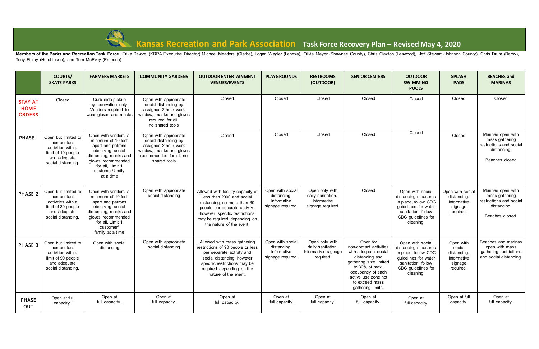

## **Kansas Recreation and Park Association Task Force Recovery Plan – Revised May 4, 2020**

Members of the Parks and Recreation Task Force: Erika Devore (KRPA Executive Director) Michael Meadors (Olathe), Logan Wagler (Lenexa), Olivia Mayer (Shawnee County), Chris Claxton (Leawood), Jeff Stewart (Johnson County), Tony Finlay (Hutchinson), and Tom McEvoy (Emporia)

|                                                | <b>COURTS/</b><br><b>SKATE PARKS</b>                                                                                | <b>FARMERS MARKETS</b>                                                                                                                                                                 | <b>COMMUNITY GARDENS</b>                                                                                                                     | <b>OUTDOOR ENTERTAINMENT</b><br><b>VENUES/EVENTS</b>                                                                                                                                                                        | <b>PLAYGROUNDS</b>                                                  | <b>RESTROOMS</b><br>(OUTDOOR)                                           | <b>SENIOR CENTERS</b>                                                                                                                                                                                       | <b>OUTDOOR</b><br><b>SWIMMING</b><br><b>POOLS</b>                                                                                                | <b>SPLASH</b><br><b>PADS</b>                                              | <b>BEACHES and</b><br><b>MARINAS</b>                                                             |
|------------------------------------------------|---------------------------------------------------------------------------------------------------------------------|----------------------------------------------------------------------------------------------------------------------------------------------------------------------------------------|----------------------------------------------------------------------------------------------------------------------------------------------|-----------------------------------------------------------------------------------------------------------------------------------------------------------------------------------------------------------------------------|---------------------------------------------------------------------|-------------------------------------------------------------------------|-------------------------------------------------------------------------------------------------------------------------------------------------------------------------------------------------------------|--------------------------------------------------------------------------------------------------------------------------------------------------|---------------------------------------------------------------------------|--------------------------------------------------------------------------------------------------|
| <b>STAY AT</b><br><b>HOME</b><br><b>ORDERS</b> | Closed                                                                                                              | Curb side pickup<br>by reservation only.<br>Vendors required to<br>wear gloves and masks                                                                                               | Open with appropriate<br>social distancing by<br>assigned 2-hour work<br>window, masks and gloves<br>required for all,<br>no shared tools    | Closed                                                                                                                                                                                                                      | Closed                                                              | Closed                                                                  | Closed                                                                                                                                                                                                      | Closed                                                                                                                                           | Closed                                                                    | Closed                                                                                           |
| <b>PHASE</b>                                   | Open but limited to<br>non-contact<br>activities with a<br>limit of 10 people<br>and adequate<br>social distancing. | Open with vendors a<br>minimum of 10 feet<br>apart and patrons<br>observing social<br>distancing, masks and<br>gloves recommended<br>for all, Limit 1<br>customer/family<br>at a time  | Open with appropriate<br>social distancing by<br>assigned 2-hour work<br>window, masks and gloves<br>recommended for all, no<br>shared tools | Closed                                                                                                                                                                                                                      | Closed                                                              | Closed                                                                  | Closed                                                                                                                                                                                                      | Closed                                                                                                                                           | Closed                                                                    | Marinas open with<br>mass gathering<br>restrictions and social<br>distancing.<br>Beaches closed  |
| PHASE 2                                        | Open but limited to<br>non-contact<br>activities with a<br>limit of 30 people<br>and adequate<br>social distancing. | Open with vendors a<br>minimum of 10 feet<br>apart and patrons<br>observing social<br>distancing, masks and<br>gloves recommended<br>for all. Limit 1<br>customer/<br>family at a time | Open with appropriate<br>social distancing                                                                                                   | Allowed with facility capacity of<br>less than 2000 and social<br>distancing, no more than 30<br>people per separate activity,<br>however specific restrictions<br>may be required depending on<br>the nature of the event. | Open with social<br>distancing.<br>Informative<br>signage required. | Open only with<br>daily sanitation.<br>Informative<br>signage required. | Closed                                                                                                                                                                                                      | Open with social<br>distancing measures<br>in place, follow CDC<br>guidelines for water<br>sanitation, follow<br>CDC guidelines for<br>cleaning. | Open with social<br>distancing.<br>Informative<br>signage<br>required.    | Marinas open with<br>mass gathering<br>restrictions and social<br>distancing.<br>Beaches closed. |
| PHASE 3                                        | Open but limited to<br>non-contact<br>activities with a<br>limit of 90 people<br>and adequate<br>social distancing. | Open with social<br>distancing                                                                                                                                                         | Open with appropriate<br>social distancing                                                                                                   | Allowed with mass gathering<br>restrictions of 90 people or less<br>per separate activity and<br>social distancing, however<br>specific restrictions may be<br>required depending on the<br>nature of the event.            | Open with social<br>distancing.<br>Informative<br>signage required. | Open only with<br>daily sanitation.<br>Informative signage<br>required. | Open for<br>non-contact activities<br>with adequate social<br>distancing and<br>gathering size limited<br>to 30% of max.<br>occupancy of each<br>active use zone not<br>to exceed mass<br>gathering limits. | Open with social<br>distancing measures<br>in place, follow CDC<br>guidelines for water<br>sanitation, follow<br>CDC guidelines for<br>cleaning. | Open with<br>social<br>distancing.<br>Informative<br>signage<br>required. | Beaches and marinas<br>open with mass<br>gathering restrictions<br>and social distancing.        |
| <b>PHASE</b><br>OUT                            | Open at full<br>capacity.                                                                                           | Open at<br>full capacity.                                                                                                                                                              | Open at<br>full capacity.                                                                                                                    | Open at<br>full capacity.                                                                                                                                                                                                   | Open at<br>full capacity.                                           | Open at<br>full capacity.                                               | Open at<br>full capacity.                                                                                                                                                                                   | Open at<br>full capacity.                                                                                                                        | Open at full<br>capacity.                                                 | Open at<br>full capacity.                                                                        |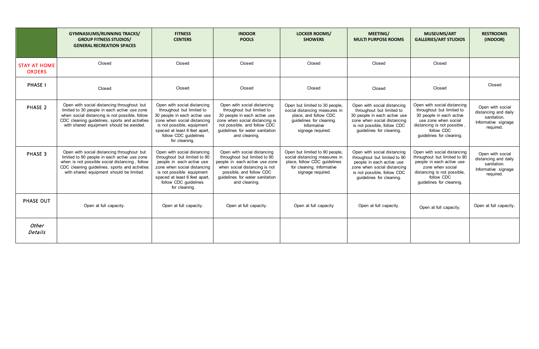|                                      | <b>GYMNASIUMS/RUNNING TRACKS/</b><br><b>GROUP FITNESS STUDIOS/</b><br><b>GENERAL RECREATION SPACES</b>                                                                                                                                     | <b>FITNESS</b><br><b>CENTERS</b>                                                                                                                                                                                                 | <b>INDOOR</b><br><b>POOLS</b>                                                                                                                                                                                  | <b>LOCKER ROOMS/</b><br><b>SHOWERS</b>                                                                                                                   | MEETING/<br><b>MULTI PURPOSE ROOMS</b>                                                                                                                                             | <b>MUSEUMS/ART</b><br><b>GALLERIES/ART STUDIOS</b>                                                                                                                                    | <b>RESTROOMS</b><br>(INDOOR)                                                                |
|--------------------------------------|--------------------------------------------------------------------------------------------------------------------------------------------------------------------------------------------------------------------------------------------|----------------------------------------------------------------------------------------------------------------------------------------------------------------------------------------------------------------------------------|----------------------------------------------------------------------------------------------------------------------------------------------------------------------------------------------------------------|----------------------------------------------------------------------------------------------------------------------------------------------------------|------------------------------------------------------------------------------------------------------------------------------------------------------------------------------------|---------------------------------------------------------------------------------------------------------------------------------------------------------------------------------------|---------------------------------------------------------------------------------------------|
| <b>STAY AT HOME</b><br><b>ORDERS</b> | Closed                                                                                                                                                                                                                                     | Closed                                                                                                                                                                                                                           | Closed                                                                                                                                                                                                         | Closed                                                                                                                                                   | Closed                                                                                                                                                                             | Closed                                                                                                                                                                                |                                                                                             |
| <b>PHASE I</b>                       | Closed                                                                                                                                                                                                                                     | Closed                                                                                                                                                                                                                           | Closed                                                                                                                                                                                                         | Closed                                                                                                                                                   | Closed                                                                                                                                                                             | Closed                                                                                                                                                                                | Closed                                                                                      |
| PHASE 2                              | Open with social distancing throughout but<br>limited to 30 people in each active use zone<br>when social distancing is not possible, follow<br>CDC cleaning guidelines, sports and activities<br>with shared equipment should be avoided. | Open with social distancing<br>throughout but limited to<br>30 people in each active use<br>zone when social distancing<br>is not possible, equipment<br>spaced at least 6 feet apart,<br>follow CDC guidelines<br>for cleaning. | Open with social distancing<br>throughout but limited to<br>30 people in each active use<br>zone when social distancing is<br>not possible, and follow CDC<br>guidelines for water sanitation<br>and cleaning. | Open but limited to 30 people,<br>social distancing measures in<br>place, and follow CDC<br>guidelines for cleaning.<br>Informative<br>signage required. | Open with social distancing<br>throughout but limited to<br>30 people in each active use<br>zone when social distancing<br>is not possible, follow CDC<br>guidelines for cleaning. | Open with social distancing<br>throughout but limited to<br>30 people in each active<br>use zone when social<br>distancing is not possible,<br>follow CDC<br>guidelines for cleaning. | Open with social<br>distancing and daily<br>sanitation.<br>Informative signage<br>required. |
| PHASE 3                              | Open with social distancing throughout but<br>limited to 90 people in each active use zone<br>when is not possible social distancing, follow<br>CDC cleaning guidelines, sports and activities<br>with shared equipment should be limited. | Open with social distancing<br>throughout but limited to 90<br>people in each active use<br>zone when social distancing<br>is not possible equipment<br>spaced at least 6 feet apart,<br>follow CDC guidelines<br>for cleaning.  | Open with social distancing<br>throughout but limited to 90<br>people in each active use zone<br>when social distancing is not<br>possible, and follow CDC<br>guidelines for water sanitation<br>and cleaning. | Open but limited to 90 people,<br>social distancing measures in<br>place, follow CDC guidelines<br>for cleaning. Informative<br>signage required.        | Open with social distancing<br>throughout but limited to 90<br>people in each active use<br>zone when social distancing<br>is not possible, follow CDC<br>guidelines for cleaning. | Open with social distancing<br>throughout but limited to 90<br>people in each active use<br>zone when social<br>distancing is not possible,<br>follow CDC<br>guidelines for cleaning. | Open with social<br>distancing and daily<br>sanitation.<br>Informative signage<br>required. |
| PHASE OUT                            | Open at full capacity.                                                                                                                                                                                                                     | Open at full capacity.                                                                                                                                                                                                           | Open at full capacity.                                                                                                                                                                                         | Open at full capacity                                                                                                                                    | Open at full capacity.                                                                                                                                                             | Open at full capacity.                                                                                                                                                                | Open at full capacity.                                                                      |
| Other<br>Details                     |                                                                                                                                                                                                                                            |                                                                                                                                                                                                                                  |                                                                                                                                                                                                                |                                                                                                                                                          |                                                                                                                                                                                    |                                                                                                                                                                                       |                                                                                             |